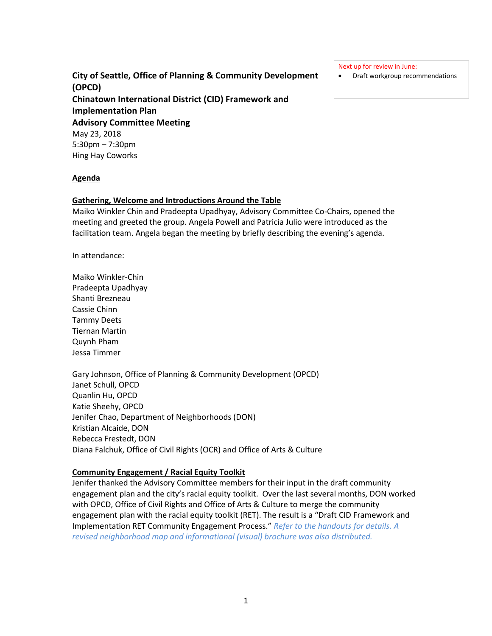# **City of Seattle, Office of Planning & Community Development (OPCD) Chinatown International District (CID) Framework and Implementation Plan Advisory Committee Meeting** May 23, 2018 5:30pm – 7:30pm Hing Hay Coworks

Next up for review in June:

• Draft workgroup recommendations

#### **Agenda**

#### **Gathering, Welcome and Introductions Around the Table**

Maiko Winkler Chin and Pradeepta Upadhyay, Advisory Committee Co-Chairs, opened the meeting and greeted the group. Angela Powell and Patricia Julio were introduced as the facilitation team. Angela began the meeting by briefly describing the evening's agenda.

In attendance:

Maiko Winkler-Chin Pradeepta Upadhyay Shanti Brezneau Cassie Chinn Tammy Deets Tiernan Martin Quynh Pham Jessa Timmer

Gary Johnson, Office of Planning & Community Development (OPCD) Janet Schull, OPCD Quanlin Hu, OPCD Katie Sheehy, OPCD Jenifer Chao, Department of Neighborhoods (DON) Kristian Alcaide, DON Rebecca Frestedt, DON Diana Falchuk, Office of Civil Rights (OCR) and Office of Arts & Culture

### **Community Engagement / Racial Equity Toolkit**

Jenifer thanked the Advisory Committee members for their input in the draft community engagement plan and the city's racial equity toolkit. Over the last several months, DON worked with OPCD, Office of Civil Rights and Office of Arts & Culture to merge the community engagement plan with the racial equity toolkit (RET). The result is a "Draft CID Framework and Implementation RET Community Engagement Process." *Refer to the handouts for details. A revised neighborhood map and informational (visual) brochure was also distributed.*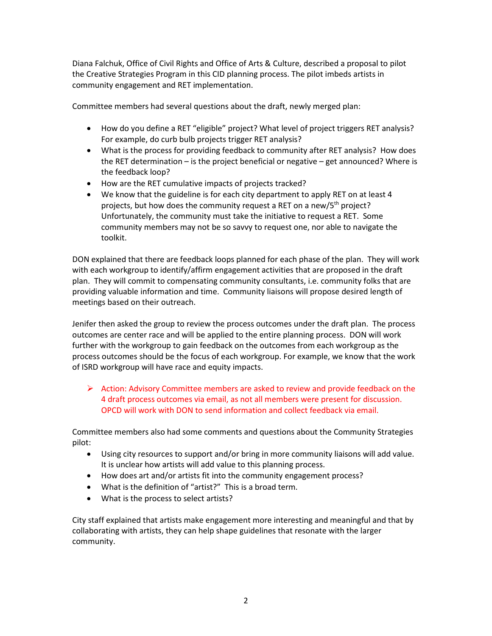Diana Falchuk, Office of Civil Rights and Office of Arts & Culture, described a proposal to pilot the Creative Strategies Program in this CID planning process. The pilot imbeds artists in community engagement and RET implementation.

Committee members had several questions about the draft, newly merged plan:

- How do you define a RET "eligible" project? What level of project triggers RET analysis? For example, do curb bulb projects trigger RET analysis?
- What is the process for providing feedback to community after RET analysis? How does the RET determination – is the project beneficial or negative – get announced? Where is the feedback loop?
- How are the RET cumulative impacts of projects tracked?
- We know that the guideline is for each city department to apply RET on at least 4 projects, but how does the community request a RET on a new/5<sup>th</sup> project? Unfortunately, the community must take the initiative to request a RET. Some community members may not be so savvy to request one, nor able to navigate the toolkit.

DON explained that there are feedback loops planned for each phase of the plan. They will work with each workgroup to identify/affirm engagement activities that are proposed in the draft plan. They will commit to compensating community consultants, i.e. community folks that are providing valuable information and time. Community liaisons will propose desired length of meetings based on their outreach.

Jenifer then asked the group to review the process outcomes under the draft plan. The process outcomes are center race and will be applied to the entire planning process. DON will work further with the workgroup to gain feedback on the outcomes from each workgroup as the process outcomes should be the focus of each workgroup. For example, we know that the work of ISRD workgroup will have race and equity impacts.

 $\triangleright$  Action: Advisory Committee members are asked to review and provide feedback on the 4 draft process outcomes via email, as not all members were present for discussion. OPCD will work with DON to send information and collect feedback via email.

Committee members also had some comments and questions about the Community Strategies pilot:

- Using city resources to support and/or bring in more community liaisons will add value. It is unclear how artists will add value to this planning process.
- How does art and/or artists fit into the community engagement process?
- What is the definition of "artist?" This is a broad term.
- What is the process to select artists?

City staff explained that artists make engagement more interesting and meaningful and that by collaborating with artists, they can help shape guidelines that resonate with the larger community.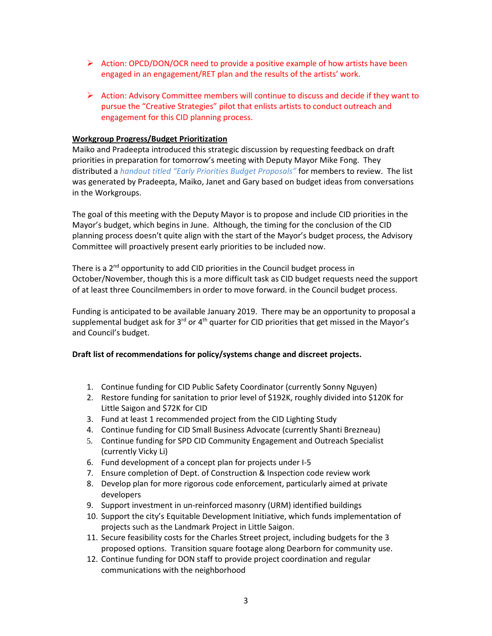- $\triangleright$  Action: OPCD/DON/OCR need to provide a positive example of how artists have been engaged in an engagement/RET plan and the results of the artists' work.
- $\triangleright$  Action: Advisory Committee members will continue to discuss and decide if they want to pursue the "Creative Strategies" pilot that enlists artists to conduct outreach and engagement for this CID planning process.

### **Workgroup Progress/Budget Prioritization**

Maiko and Pradeepta introduced this strategic discussion by requesting feedback on draft priorities in preparation for tomorrow's meeting with Deputy Mayor Mike Fong. They distributed a *handout titled "Early Priorities Budget Proposals"* for members to review. The list was generated by Pradeepta, Maiko, Janet and Gary based on budget ideas from conversations in the Workgroups.

The goal of this meeting with the Deputy Mayor is to propose and include CID priorities in the Mayor's budget, which begins in June. Although, the timing for the conclusion of the CID planning process doesn't quite align with the start of the Mayor's budget process, the Advisory Committee will proactively present early priorities to be included now.

There is a 2<sup>nd</sup> opportunity to add CID priorities in the Council budget process in October/November, though this is a more difficult task as CID budget requests need the support of at least three Councilmembers in order to move forward. in the Council budget process.

Funding is anticipated to be available January 2019. There may be an opportunity to proposal a supplemental budget ask for  $3<sup>rd</sup>$  or  $4<sup>th</sup>$  quarter for CID priorities that get missed in the Mayor's and Council's budget.

### **Draft list of recommendations for policy/systems change and discreet projects.**

- 1. Continue funding for CID Public Safety Coordinator (currently Sonny Nguyen)
- 2. Restore funding for sanitation to prior level of \$192K, roughly divided into \$120K for Little Saigon and \$72K for CID
- 3. Fund at least 1 recommended project from the CID Lighting Study
- 4. Continue funding for CID Small Business Advocate (currently Shanti Brezneau)
- 5. Continue funding for SPD CID Community Engagement and Outreach Specialist (currently Vicky Li)
- 6. Fund development of a concept plan for projects under I-5
- 7. Ensure completion of Dept. of Construction & Inspection code review work
- 8. Develop plan for more rigorous code enforcement, particularly aimed at private developers
- 9. Support investment in un-reinforced masonry (URM) identified buildings
- 10. Support the city's Equitable Development Initiative, which funds implementation of projects such as the Landmark Project in Little Saigon.
- 11. Secure feasibility costs for the Charles Street project, including budgets for the 3 proposed options. Transition square footage along Dearborn for community use.
- 12. Continue funding for DON staff to provide project coordination and regular communications with the neighborhood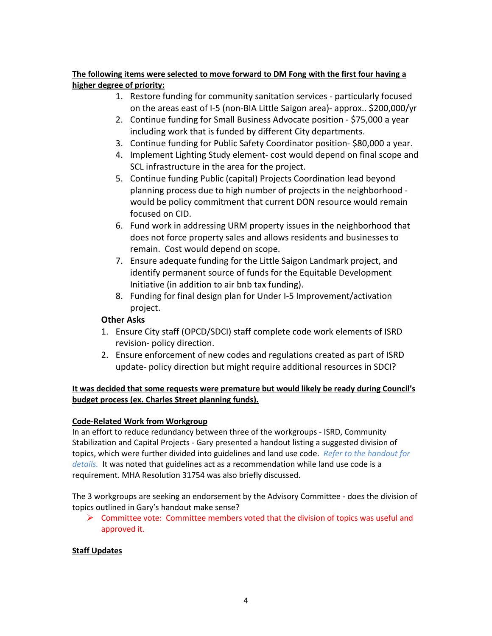### **The following items were selected to move forward to DM Fong with the first four having a higher degree of priority:**

- 1. Restore funding for community sanitation services particularly focused on the areas east of I-5 (non-BIA Little Saigon area)- approx.. \$200,000/yr
- 2. Continue funding for Small Business Advocate position \$75,000 a year including work that is funded by different City departments.
- 3. Continue funding for Public Safety Coordinator position- \$80,000 a year.
- 4. Implement Lighting Study element- cost would depend on final scope and SCL infrastructure in the area for the project.
- 5. Continue funding Public (capital) Projects Coordination lead beyond planning process due to high number of projects in the neighborhood would be policy commitment that current DON resource would remain focused on CID.
- 6. Fund work in addressing URM property issues in the neighborhood that does not force property sales and allows residents and businesses to remain. Cost would depend on scope.
- 7. Ensure adequate funding for the Little Saigon Landmark project, and identify permanent source of funds for the Equitable Development Initiative (in addition to air bnb tax funding).
- 8. Funding for final design plan for Under I-5 Improvement/activation project.

# **Other Asks**

- 1. Ensure City staff (OPCD/SDCI) staff complete code work elements of ISRD revision- policy direction.
- 2. Ensure enforcement of new codes and regulations created as part of ISRD update- policy direction but might require additional resources in SDCI?

### **It was decided that some requests were premature but would likely be ready during Council's budget process (ex. Charles Street planning funds).**

## **Code-Related Work from Workgroup**

In an effort to reduce redundancy between three of the workgroups - ISRD, Community Stabilization and Capital Projects - Gary presented a handout listing a suggested division of topics, which were further divided into guidelines and land use code. *Refer to the handout for details.* It was noted that guidelines act as a recommendation while land use code is a requirement. MHA Resolution 31754 was also briefly discussed.

The 3 workgroups are seeking an endorsement by the Advisory Committee - does the division of topics outlined in Gary's handout make sense?

 $\triangleright$  Committee vote: Committee members voted that the division of topics was useful and approved it.

### **Staff Updates**